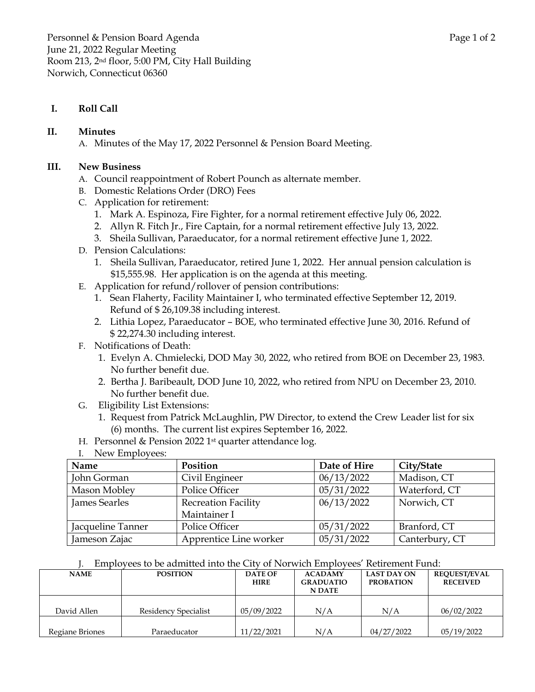### **I. Roll Call**

#### **II. Minutes**

A. Minutes of the May 17, 2022 Personnel & Pension Board Meeting.

#### **III. New Business**

- A. Council reappointment of Robert Pounch as alternate member.
- B. Domestic Relations Order (DRO) Fees
- C. Application for retirement:
	- 1. Mark A. Espinoza, Fire Fighter, for a normal retirement effective July 06, 2022.
	- 2. Allyn R. Fitch Jr., Fire Captain, for a normal retirement effective July 13, 2022.
	- 3. Sheila Sullivan, Paraeducator, for a normal retirement effective June 1, 2022.
- D. Pension Calculations:
	- 1. Sheila Sullivan, Paraeducator, retired June 1, 2022. Her annual pension calculation is \$15,555.98. Her application is on the agenda at this meeting.
- E. Application for refund/rollover of pension contributions:
	- 1. Sean Flaherty, Facility Maintainer I, who terminated effective September 12, 2019. Refund of \$ 26,109.38 including interest.
	- 2. Lithia Lopez, Paraeducator BOE, who terminated effective June 30, 2016. Refund of \$ 22,274.30 including interest.
- F. Notifications of Death:
	- 1. Evelyn A. Chmielecki, DOD May 30, 2022, who retired from BOE on December 23, 1983. No further benefit due.
	- 2. Bertha J. Baribeault, DOD June 10, 2022, who retired from NPU on December 23, 2010. No further benefit due.
- G. Eligibility List Extensions:
	- 1. Request from Patrick McLaughlin, PW Director, to extend the Crew Leader list for six (6) months. The current list expires September 16, 2022.
- H. Personnel & Pension 2022 1<sup>st</sup> quarter attendance log.
- I. New Employees:

| Name              | Position                   | Date of Hire | City/State     |
|-------------------|----------------------------|--------------|----------------|
| John Gorman       | Civil Engineer             | 06/13/2022   | Madison, CT    |
| Mason Mobley      | Police Officer             | 05/31/2022   | Waterford, CT  |
| James Searles     | <b>Recreation Facility</b> | 06/13/2022   | Norwich, CT    |
|                   | Maintainer I               |              |                |
| Jacqueline Tanner | Police Officer             | 05/31/2022   | Branford, CT   |
| Jameson Zajac     | Apprentice Line worker     | 05/31/2022   | Canterbury, CT |

J. Employees to be admitted into the City of Norwich Employees' Retirement Fund:

| <b>NAME</b>     | <b>POSITION</b>      | <b>DATE OF</b> | <b>ACADAMY</b>   | <b>LAST DAY ON</b> | <b>REOUEST/EVAL</b> |
|-----------------|----------------------|----------------|------------------|--------------------|---------------------|
|                 |                      | <b>HIRE</b>    | <b>GRADUATIO</b> | <b>PROBATION</b>   | <b>RECEIVED</b>     |
|                 |                      |                | <b>N DATE</b>    |                    |                     |
|                 |                      |                |                  |                    |                     |
| David Allen     | Residency Specialist | 05/09/2022     | N/A              | N/A                | 06/02/2022          |
|                 |                      |                |                  |                    |                     |
| Regiane Briones | Paraeducator         | 11/22/2021     | N/A              | 04/27/2022         | 05/19/2022          |